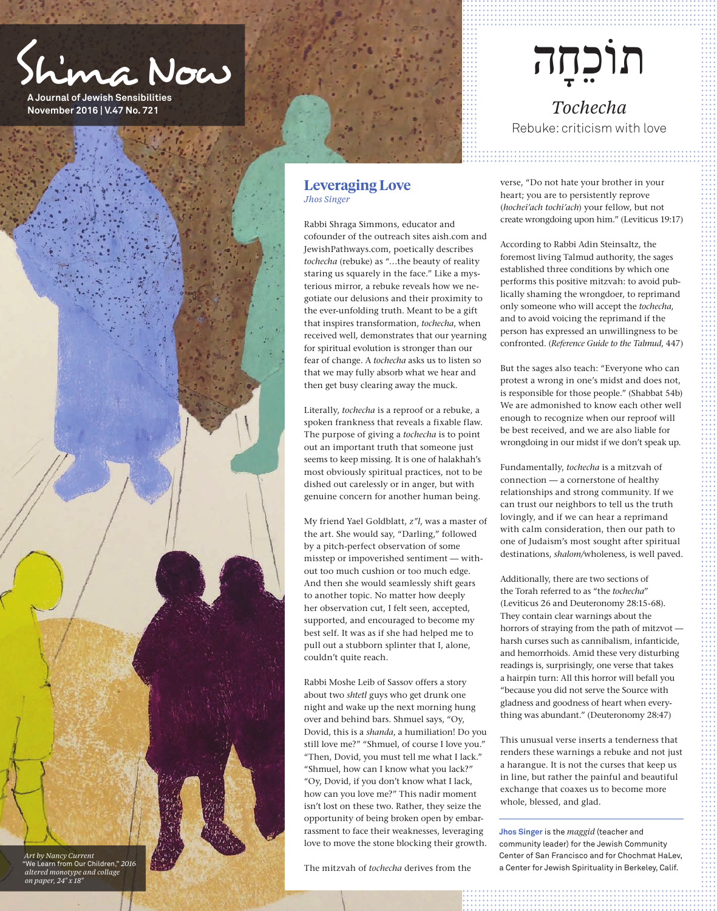Sh'ma Now

**A Journal of Jewish Sensibilities November 2016 | V.47 No. 721**



*altered monotype and collage on paper, 24" x 18"*

## **Leveraging Love**  *Jhos Singer*

Rabbi Shraga Simmons, educator and cofounder of the outreach sites aish.com and JewishPathways.com, poetically describes *tochecha* (rebuke) as "…the beauty of reality staring us squarely in the face." Like a mysterious mirror, a rebuke reveals how we negotiate our delusions and their proximity to the ever-unfolding truth. Meant to be a gift that inspires transformation, *tochecha*, when received well, demonstrates that our yearning for spiritual evolution is stronger than our fear of change. A *tochecha* asks us to listen so that we may fully absorb what we hear and then get busy clearing away the muck.

Literally, *tochecha* is a reproof or a rebuke, a spoken frankness that reveals a fixable flaw. The purpose of giving a *tochecha* is to point out an important truth that someone just seems to keep missing. It is one of halakhah's most obviously spiritual practices, not to be dished out carelessly or in anger, but with genuine concern for another human being.

My friend Yael Goldblatt, *z"l*, was a master of the art. She would say, "Darling," followed by a pitch-perfect observation of some misstep or impoverished sentiment — without too much cushion or too much edge. And then she would seamlessly shift gears to another topic. No matter how deeply her observation cut, I felt seen, accepted, supported, and encouraged to become my best self. It was as if she had helped me to pull out a stubborn splinter that I, alone, couldn't quite reach.

Rabbi Moshe Leib of Sassov offers a story about two *shtetl* guys who get drunk one night and wake up the next morning hung over and behind bars. Shmuel says, "Oy, Dovid, this is a *shanda*, a humiliation! Do you still love me?" "Shmuel, of course I love you." "Then, Dovid, you must tell me what I lack." "Shmuel, how can I know what you lack?" "Oy, Dovid, if you don't know what I lack, how can you love me?" This nadir moment isn't lost on these two. Rather, they seize the opportunity of being broken open by embarrassment to face their weaknesses, leveraging love to move the stone blocking their growth.

The mitzvah of *tochecha* derives from the

# תוֹכחָה

*Tochecha* Rebuke: criticism with love

verse, "Do not hate your brother in your heart; you are to persistently reprove (*hochei'ach tochi'ach*) your fellow, but not create wrongdoing upon him." (Leviticus 19:17)

According to Rabbi Adin Steinsaltz, the foremost living Talmud authority, the sages established three conditions by which one performs this positive mitzvah: to avoid publically shaming the wrongdoer, to reprimand only someone who will accept the *tochecha*, and to avoid voicing the reprimand if the person has expressed an unwillingness to be confronted. (*Reference Guide to the Talmud*, 447)

But the sages also teach: "Everyone who can protest a wrong in one's midst and does not, is responsible for those people." (Shabbat 54b) We are admonished to know each other well enough to recognize when our reproof will be best received, and we are also liable for wrongdoing in our midst if we don't speak up.

Fundamentally, *tochecha* is a mitzvah of connection — a cornerstone of healthy relationships and strong community. If we can trust our neighbors to tell us the truth lovingly, and if we can hear a reprimand with calm consideration, then our path to one of Judaism's most sought after spiritual destinations, *shalom/*wholeness, is well paved.

Additionally, there are two sections of the Torah referred to as "the *tochecha*" (Leviticus 26 and Deuteronomy 28:15-68). They contain clear warnings about the horrors of straying from the path of mitzvot harsh curses such as cannibalism, infanticide, and hemorrhoids. Amid these very disturbing readings is, surprisingly, one verse that takes a hairpin turn: All this horror will befall you "because you did not serve the Source with gladness and goodness of heart when everything was abundant." (Deuteronomy 28:47)

This unusual verse inserts a tenderness that renders these warnings a rebuke and not just a harangue. It is not the curses that keep us in line, but rather the painful and beautiful exchange that coaxes us to become more whole, blessed, and glad.

**Jhos Singer** is the *maggid* (teacher and community leader) for the Jewish Community Center of San Francisco and for Chochmat HaLev, a Center for Jewish Spirituality in Berkeley, Calif.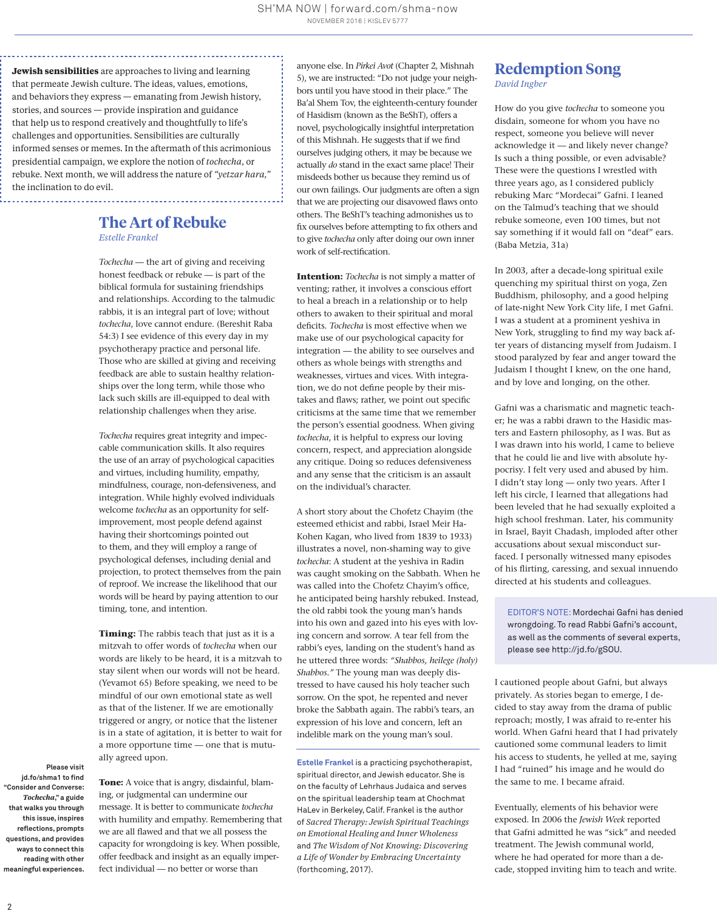**Jewish sensibilities** are approaches to living and learning that permeate Jewish culture. The ideas, values, emotions, and behaviors they express — emanating from Jewish history, stories, and sources — provide inspiration and guidance that help us to respond creatively and thoughtfully to life's challenges and opportunities. Sensibilities are culturally informed senses or memes. In the aftermath of this acrimonious presidential campaign, we explore the notion of *tochecha*, or rebuke. Next month, we will address the nature of *"yetzar hara,"*  the inclination to do evil.

### **The Art of Rebuke**  *Estelle Frankel*

*Tochecha* — the art of giving and receiving honest feedback or rebuke — is part of the biblical formula for sustaining friendships and relationships. According to the talmudic rabbis, it is an integral part of love; without *tochecha*, love cannot endure. (Bereshit Raba 54:3) I see evidence of this every day in my psychotherapy practice and personal life. Those who are skilled at giving and receiving feedback are able to sustain healthy relationships over the long term, while those who lack such skills are ill-equipped to deal with relationship challenges when they arise.

*Tochecha* requires great integrity and impeccable communication skills. It also requires the use of an array of psychological capacities and virtues, including humility, empathy, mindfulness, courage, non-defensiveness, and integration. While highly evolved individuals welcome *tochecha* as an opportunity for selfimprovement, most people defend against having their shortcomings pointed out to them, and they will employ a range of psychological defenses, including denial and projection, to protect themselves from the pain of reproof. We increase the likelihood that our words will be heard by paying attention to our timing, tone, and intention.

**Timing:** The rabbis teach that just as it is a mitzvah to offer words of *tochecha* when our words are likely to be heard, it is a mitzvah to stay silent when our words will not be heard. (Yevamot 65) Before speaking, we need to be mindful of our own emotional state as well as that of the listener. If we are emotionally triggered or angry, or notice that the listener is in a state of agitation, it is better to wait for a more opportune time — one that is mutually agreed upon.

**Please visit jd.fo/shma1 to find "Consider and Converse:**  *Tochecha***," a guide that walks you through this issue, inspires reflections, prompts questions, and provides ways to connect this reading with other meaningful experiences.**

**Tone:** A voice that is angry, disdainful, blaming, or judgmental can undermine our message. It is better to communicate *tochecha* with humility and empathy. Remembering that we are all flawed and that we all possess the capacity for wrongdoing is key. When possible, offer feedback and insight as an equally imperfect individual — no better or worse than

anyone else. In *Pirkei Avot* (Chapter 2, Mishnah 5), we are instructed: "Do not judge your neighbors until you have stood in their place." The Ba'al Shem Tov, the eighteenth-century founder of Hasidism (known as the BeShT), offers a novel, psychologically insightful interpretation of this Mishnah. He suggests that if we find ourselves judging others, it may be because we actually *do* stand in the exact same place! Their misdeeds bother us because they remind us of our own failings. Our judgments are often a sign that we are projecting our disavowed flaws onto others. The BeShT's teaching admonishes us to fix ourselves before attempting to fix others and to give *tochecha* only after doing our own inner work of self-rectification.

**Intention:** *Tochecha* is not simply a matter of venting; rather, it involves a conscious effort to heal a breach in a relationship or to help others to awaken to their spiritual and moral deficits. *Tochecha* is most effective when we make use of our psychological capacity for integration — the ability to see ourselves and others as whole beings with strengths and weaknesses, virtues and vices. With integration, we do not define people by their mistakes and flaws; rather, we point out specific criticisms at the same time that we remember the person's essential goodness. When giving *tochecha*, it is helpful to express our loving concern, respect, and appreciation alongside any critique. Doing so reduces defensiveness and any sense that the criticism is an assault on the individual's character.

A short story about the Chofetz Chayim (the esteemed ethicist and rabbi, Israel Meir Ha-Kohen Kagan, who lived from 1839 to 1933) illustrates a novel, non-shaming way to give *tochecha*: A student at the yeshiva in Radin was caught smoking on the Sabbath. When he was called into the Chofetz Chayim's office, he anticipated being harshly rebuked. Instead, the old rabbi took the young man's hands into his own and gazed into his eyes with loving concern and sorrow. A tear fell from the rabbi's eyes, landing on the student's hand as he uttered three words: *"Shabbos, heilege (holy) Shabbos."* The young man was deeply distressed to have caused his holy teacher such sorrow. On the spot, he repented and never broke the Sabbath again. The rabbi's tears, an expression of his love and concern, left an indelible mark on the young man's soul.

**Estelle Frankel** is a practicing psychotherapist, spiritual director, and Jewish educator. She is on the faculty of Lehrhaus Judaica and serves on the spiritual leadership team at Chochmat HaLev in Berkeley, Calif. Frankel is the author of *Sacred Therapy: Jewish Spiritual Teachings on Emotional Healing and Inner Wholeness* and *The Wisdom of Not Knowing: Discovering a Life of Wonder by Embracing Uncertainty* (forthcoming, 2017).

# **Redemption Song** *David Ingber*

How do you give *tochecha* to someone you disdain, someone for whom you have no respect, someone you believe will never acknowledge it — and likely never change? Is such a thing possible, or even advisable? These were the questions I wrestled with three years ago, as I considered publicly rebuking Marc "Mordecai" Gafni. I leaned on the Talmud's teaching that we should rebuke someone, even 100 times, but not say something if it would fall on "deaf" ears. (Baba Metzia, 31a)

In 2003, after a decade-long spiritual exile quenching my spiritual thirst on yoga, Zen Buddhism, philosophy, and a good helping of late-night New York City life, I met Gafni. I was a student at a prominent yeshiva in New York, struggling to find my way back after years of distancing myself from Judaism. I stood paralyzed by fear and anger toward the Judaism I thought I knew, on the one hand, and by love and longing, on the other.

Gafni was a charismatic and magnetic teacher; he was a rabbi drawn to the Hasidic masters and Eastern philosophy, as I was. But as I was drawn into his world, I came to believe that he could lie and live with absolute hypocrisy. I felt very used and abused by him. I didn't stay long — only two years. After I left his circle, I learned that allegations had been leveled that he had sexually exploited a high school freshman. Later, his community in Israel, Bayit Chadash, imploded after other accusations about sexual misconduct surfaced. I personally witnessed many episodes of his flirting, caressing, and sexual innuendo directed at his students and colleagues.

EDITOR'S NOTE: Mordechai Gafni has denied wrongdoing. To read Rabbi Gafni's account, as well as the comments of several experts, please see http://jd.fo/gSOU.

I cautioned people about Gafni, but always privately. As stories began to emerge, I decided to stay away from the drama of public reproach; mostly, I was afraid to re-enter his world. When Gafni heard that I had privately cautioned some communal leaders to limit his access to students, he yelled at me, saying I had "ruined" his image and he would do the same to me. I became afraid.

Eventually, elements of his behavior were exposed. In 2006 the *Jewish Week* reported that Gafni admitted he was "sick" and needed treatment. The Jewish communal world, where he had operated for more than a decade, stopped inviting him to teach and write.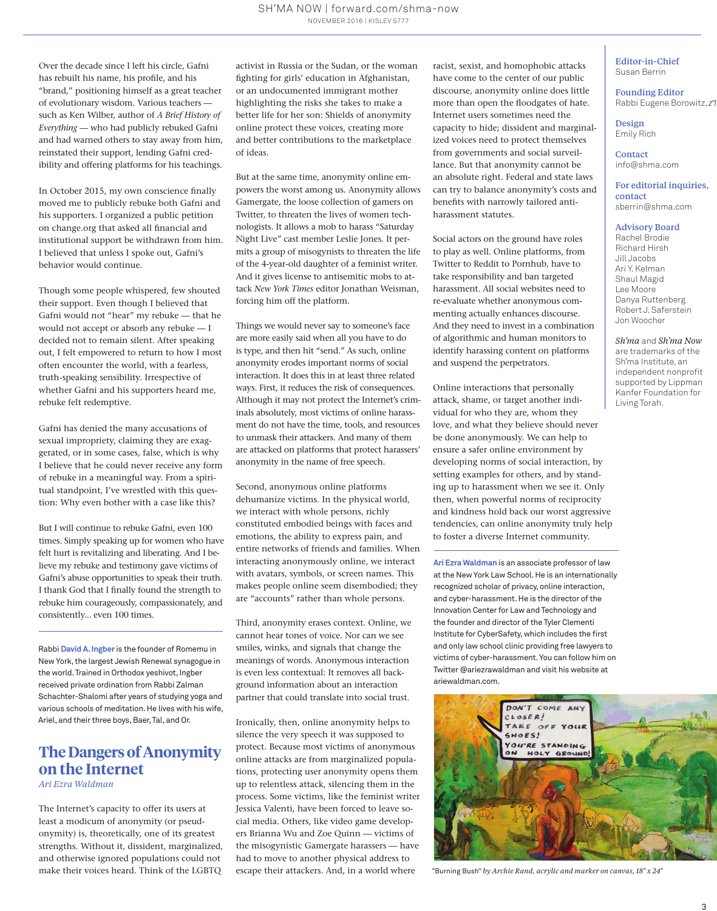Over the decade since I left his circle, Gafni has rebuilt his name, his profile, and his "brand," positioning himself as a great teacher of evolutionary wisdom. Various teachers such as Ken Wilber, author of *A Brief History of Everything* — who had publicly rebuked Gafni and had warned others to stay away from him, reinstated their support, lending Gafni credibility and offering platforms for his teachings.

In October 2015, my own conscience finally moved me to publicly rebuke both Gafni and his supporters. I organized a public petition on change.org that asked all financial and institutional support be withdrawn from him. I believed that unless I spoke out, Gafni's behavior would continue.

Though some people whispered, few shouted their support. Even though I believed that Gafni would not "hear" my rebuke — that he would not accept or absorb any rebuke — I decided not to remain silent. After speaking out, I felt empowered to return to how I most often encounter the world, with a fearless, truth-speaking sensibility. Irrespective of whether Gafni and his supporters heard me, rebuke felt redemptive.

Gafni has denied the many accusations of sexual impropriety, claiming they are exaggerated, or in some cases, false, which is why I believe that he could never receive any form of rebuke in a meaningful way. From a spiritual standpoint, I've wrestled with this question: Why even bother with a case like this?

But I will continue to rebuke Gafni, even 100 times. Simply speaking up for women who have felt hurt is revitalizing and liberating. And I believe my rebuke and testimony gave victims of Gafni's abuse opportunities to speak their truth. I thank God that I finally found the strength to rebuke him courageously, compassionately, and consistently... even 100 times.

Rabbi **David A. Ingber** is the founder of Romemu in New York, the largest Jewish Renewal synagogue in the world. Trained in Orthodox yeshivot, Ingber received private ordination from Rabbi Zalman Schachter-Shalomi after years of studying yoga and various schools of meditation. He lives with his wife, Ariel, and their three boys, Baer, Tal, and Or.

# **The Dangers of Anonymity on the Internet**

*Ari Ezra Waldman*

The Internet's capacity to offer its users at least a modicum of anonymity (or pseudonymity) is, theoretically, one of its greatest strengths. Without it, dissident, marginalized, and otherwise ignored populations could not make their voices heard. Think of the LGBTQ

activist in Russia or the Sudan, or the woman fighting for girls' education in Afghanistan, or an undocumented immigrant mother highlighting the risks she takes to make a better life for her son: Shields of anonymity online protect these voices, creating more and better contributions to the marketplace of ideas.

But at the same time, anonymity online empowers the worst among us. Anonymity allows Gamergate, the loose collection of gamers on Twitter, to threaten the lives of women technologists. It allows a mob to harass "Saturday Night Live" cast member Leslie Jones. It permits a group of misogynists to threaten the life of the 4-year-old daughter of a feminist writer. And it gives license to antisemitic mobs to attack *New York Times* editor Jonathan Weisman, forcing him off the platform.

Things we would never say to someone's face are more easily said when all you have to do is type, and then hit "send." As such, online anonymity erodes important norms of social interaction. It does this in at least three related ways. First, it reduces the risk of consequences. Although it may not protect the Internet's criminals absolutely, most victims of online harassment do not have the time, tools, and resources to unmask their attackers. And many of them are attacked on platforms that protect harassers' anonymity in the name of free speech.

Second, anonymous online platforms dehumanize victims. In the physical world, we interact with whole persons, richly constituted embodied beings with faces and emotions, the ability to express pain, and entire networks of friends and families. When interacting anonymously online, we interact with avatars, symbols, or screen names. This makes people online seem disembodied; they are "accounts" rather than whole persons.

Third, anonymity erases context. Online, we cannot hear tones of voice. Nor can we see smiles, winks, and signals that change the meanings of words. Anonymous interaction is even less contextual: It removes all background information about an interaction partner that could translate into social trust.

Ironically, then, online anonymity helps to silence the very speech it was supposed to protect. Because most victims of anonymous online attacks are from marginalized populations, protecting user anonymity opens them up to relentless attack, silencing them in the process. Some victims, like the feminist writer Jessica Valenti, have been forced to leave social media. Others, like video game developers Brianna Wu and Zoe Quinn — victims of the misogynistic Gamergate harassers — have had to move to another physical address to escape their attackers. And, in a world where

racist, sexist, and homophobic attacks have come to the center of our public discourse, anonymity online does little more than open the floodgates of hate. Internet users sometimes need the capacity to hide; dissident and marginalized voices need to protect themselves from governments and social surveillance. But that anonymity cannot be an absolute right. Federal and state laws can try to balance anonymity's costs and benefits with narrowly tailored antiharassment statutes.

Social actors on the ground have roles to play as well. Online platforms, from Twitter to Reddit to Pornhub, have to take responsibility and ban targeted harassment. All social websites need to re-evaluate whether anonymous commenting actually enhances discourse. And they need to invest in a combination of algorithmic and human monitors to identify harassing content on platforms and suspend the perpetrators.

Online interactions that personally attack, shame, or target another individual for who they are, whom they love, and what they believe should never be done anonymously. We can help to ensure a safer online environment by developing norms of social interaction, by setting examples for others, and by standing up to harassment when we see it. Only then, when powerful norms of reciprocity and kindness hold back our worst aggressive tendencies, can online anonymity truly help to foster a diverse Internet community.

**Ari Ezra Waldman** is an associate professor of law at the New York Law School. He is an internationally recognized scholar of privacy, online interaction, and cyber-harassment. He is the director of the Innovation Center for Law and Technology and the founder and director of the Tyler Clementi Institute for CyberSafety, which includes the first and only law school clinic providing free lawyers to victims of cyber-harassment. You can follow him on Twitter @ariezrawaldman and visit his website at ariewaldman.com.



*"*Burning Bush" *by Archie Rand, acrylic and marker on canvas, 18" x 24"*

Editor-in-Chief Susan Berrin

Founding Editor Rabbi Eugene Borowitz, *z"l*

Design Emily Rich

Contact info@shma.com

For editorial inquiries, contact sberrin@shma.com

#### Advisory Board

Rachel Brodie Richard Hirsh Jill Jacobs Ari Y. Kelman Shaul Magid Lee Moore Danya Ruttenberg Robert J. Saferstein Jon Woocher

*Sh'ma* and *Sh'ma Now* are trademarks of the Sh'ma Institute, an independent nonprofit supported by Lippman Kanfer Foundation for Living Torah.